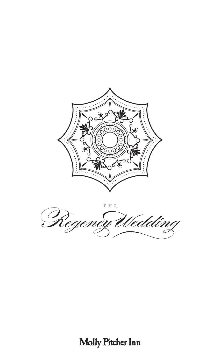



# Molly Pitcher Inn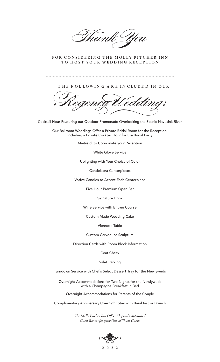rank You

FOR CONSIDERING THE MOLLY PITCHER INN TO HOST YOUR WEDDING RECEPTION

THE FOL LOWING ARE IN CLUDE D IN OUR

Cocktail Hour Featuring our Outdoor Promenade Overlooking the Scenic Navesink River

Our Ballroom Weddings Offer a Private Bridal Room for the Reception, Including a Private Cocktail Hour for the Bridal Party

Maître d' to Coordinate your Reception

White Glove Service

Uplighting with Your Choice of Color

Candelabra Centerpieces

Votive Candles to Accent Each Centerpiece

Five Hour Premium Open Bar

Signature Drink

Wine Service with Entrée Course

Custom Made Wedding Cake

Viennese Table

Custom Carved Ice Sculpture

Direction Cards with Room Block Information

Coat Check

Valet Parking

Turndown Service with Chef's Select Dessert Tray for the Newlyweds

Overnight Accommodations for Two Nights for the Newlyweds with a Champagne Breakfast in Bed

Overnight Accommodations for Parents of the Couple

Complimentary Anniversary Overnight Stay with Breakfast or Brunch

The Molly Pitcher Inn Offers Elegantly Appointed *Guest Rooms for your Out-of-Town Guests*

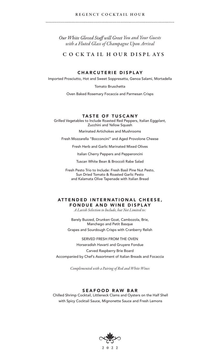#### REGENCY COCKTAIL HOUR

**Our White Gloved Staff will Greet You and Your Guests** *with a Fluted Glass of Champagne Upon Arrival*

# C O CK TA IL HOUR DISPLAYS

# **CHARCUTERIE DISPLAY**

Imported Prosciutto, Hot and Sweet Soppresatta, Genoa Salami, Mortadella

Tomato Bruschetta

Oven Baked Rosemary Focaccia and Parmesan Crisps

#### TASTE OF TUSCANY

Grilled Vegetables to Include Roasted Red Peppers, Italian Eggplant, Zucchini and Yellow Squash

Marinated Artichokes and Mushrooms

Fresh Mozzarella "Bocconcini" and Aged Provolone Cheese

Fresh Herb and Garlic Marinated Mixed Olives

Italian Cherry Peppers and Pepperoncini

Tuscan White Bean & Broccoli Rabe Salad

Fresh Pesto Trio to Include: Fresh Basil Pine Nut Pesto, Sun Dried Tomato & Roasted Garlic Pesto and Kalamata Olive Tapenade with Italian Bread

# ATTENDED INTERNATIONAL CHEESE, FONDUE AND WINE DISPLAY

*A Lavish Selection to Include, but Not Limited to:*

Barely Buzzed, Drunken Goat, Cambozola, Brie, Manchego and Petit Basque Grapes and Sourdough Crisps with Cranberry Relish

SERVED FRESH FROM THE OVEN Horseradish Havarti and Gruyere Fondue Carved Raspberry Brie Board Accompanied by Chef's Assortment of Italian Breads and Focaccia

*Complemented with a Pairing of Red and White Wines*

# **SEAFOOD RAW BAR**

 Chilled Shrimp Cocktail, Littleneck Clams and Oysters on the Half Shell with Spicy Cocktail Sauce, Mignonette Sauce and Fresh Lemons

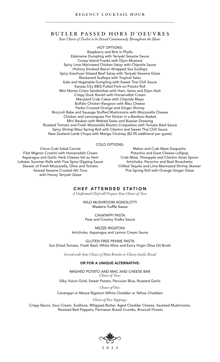#### REGENCY COCKTAIL HOUR

# **B U T L E R P A S S E D H O R S D ' O E U V R E S**<br>Your Choice of Twelve to be Passed Continuously Throughout the Hour:

HOT OPTIONS: Raspberry and Brie in Phyllo Edamame Dumpling with Teriyaki Sesame Sauce Coney Island Franks with Dijon Mustard Spicy Lime Marinated Chicken Satay with Chipotle Sauce Hickory Smoked Bacon Wrapped Sea Scallops Spicy Szechuan Glazed Beef Satay with Teriyaki Sesame Glaze Blackened Scallops with Tropical Salsa Kale and Vegetable Dumpling with Sweet Thai Chili Sauce Kansas City BBQ Pulled Pork on Potato Roll Mini Monte Cristo Sandwiches with Ham, Swiss and Dijon Aioli Crispy Duck Ravioli with Horseradish Cream Maryland Crab Cakes with Chipotle Mayo Buffalo Chicken Rangoon with Bleu Cheese Panko Crusted Orange and Ginger Shrimp Broccoli Rabe and Sausage Stuffed Mushrooms with Mozzarella Cheese Chicken and Lemongrass Pot Sticker in a Bamboo Basket Mini Reuben with Melted Swiss and Russian Dressing Roasted Tomato and Fresh Mozzarella Risotto Croquettes with Tomato Basil Sauce Spicy Shrimp Maui Spring Roll with Cilantro and Sweet Thai Chili Sauce New Zealand Lamb Chops with Mango Chutney (\$2.95 additional per guest)

#### COLD OPTIONS:

Citrus Crab Salad Cornet Filet Mignon Crostini with Horseradish Cream Asparagus and Garlic Herb Cheese Vol au Vent Lobster Summer Rolls with Five Spice Dipping Sauce Skewer of Fresh Mozzarella, Olive and Tomato Seared Sesame Crusted Ahi Tuna with Honey Teriyaki Glaze

Melon and Crab Meat Gazpacho Pistachio and Goat Cheese Lollipop Crab Meat, Pineapple and Cilantro Asian Spoon Artichoke, Pecorino and Basil Bruschetta Chilled Tequila and Lime Marinated Shrimp Skewer Thai Spring Roll with Orange Ginger Glaze

# **CHEF ATTENDED STATION**

*A Uniformed Chef will Prepare Your Choice of Two:*

WILD MUSHROOM AGNOLOTTI<br>Madeira Truffle Sauce

CAVATAPPI PASTA Peas and Creamy Vodka Sauce

MEZZE RIGATONI Artichoke, Asparagus and Lemon Cream Sauce

GLUTEN FREE PENNE PASTA Sun Dried Tomato, Fresh Basil, White Wine and Extra Virgin Olive Oil Broth

*Served with Your Choice of Mini Brioche or Cheesy Garlic Bread*

#### OR FOR A UNIQUE ALTERNATIVE:

MASHED POTATO AND MAC AND CHEESE BAR *Choice of Two:*

Silky Yukon Gold, Sweet Potato, Peruvian Blue, Roasted Garlic

*Choice of One:*

Cavatappi or Mezze Rigatoni (White Cheddar or Yellow Cheddar)

*Choice of Five Toppings:*

Crispy Bacon, Sour Cream, Scallions, Whipped Butter, Aged Cheddar Cheese, Sautéed Mushrooms, Roasted Red Peppers, Parmesan Bread Crumbs, Broccoli Florets

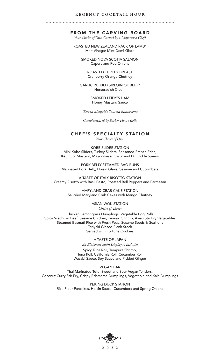#### REGENCY COCKTAIL HOUR

#### **FROM THE CARVING BOARD**

*Your Choice of One, Carved by a Uniformed Chef:* 

ROASTED NEW ZEALAND RACK OF LAMB\* Malt Vinegar-Mint Demi-Glace

> SMOKED NOVA SCOTIA SALMON Capers and Red Onions

> > ROASTED TURKEY BREAST Cranberry Orange Chutney

GARLIC RUBBED SIRLOIN OF BEEF\* Horseradish Cream

> SMOKED LEIDY'S HAM Honey Mustard Sauce

*\*Served Alongside Sautéed Mushrooms*

*Complemented by Parker House Rolls*

#### **CHEF'S SPECIALTY STATION**

*Your Choice of One:* 

KOBE SLIDER STATION Mini Kobe Sliders, Turkey Sliders, Seasoned French Fries, Ketchup, Mustard, Mayonnaise, Garlic and Dill Pickle Spears

PORK BELLY STEAMED BAO BUNS Marinated Pork Belly, Hoisin Glaze, Sesame and Cucumbers

A TASTE OF ITALY RISOTTO STATION Creamy Risotto with Basil Pesto, Roasted Bell Peppers and Parmesan

> MARYLAND CRAB CAKE STATION Sautéed Maryland Crab Cakes with Mango Chutney

> > ASIAN WOK STATION Choice of Three:

Chicken Lemongrass Dumplings, Vegetable Egg Rolls Spicy Szechuan Beef, Sesame Chicken, Teriyaki Shrimp, Asian Stir Fry Vegetables Steamed Basmati Rice with Fresh Peas, Sesame Seeds & Scallions Teriyaki Glazed Flank Steak Served with Fortune Cookies

A TASTE OF JAPAN

*An Elaborate Sushi Display to Include:* 

Spicy Tuna Roll, Tempura Shrimp, Tuna Roll, California Roll, Cucumber Roll Wasabi Sauce, Soy Sauce and Pickled Ginger

VEGAN BAR Thai Marinated Tofu, Sweet and Sour Vegan Tenders, Coconut Curry Stir Fry, Crispy Edamame Dumplings, Vegetable and Kale Dumplings

> PEKING DUCK STATION Rice Flour Pancakes, Hoisin Sauce, Cucumbers and Spring Onions

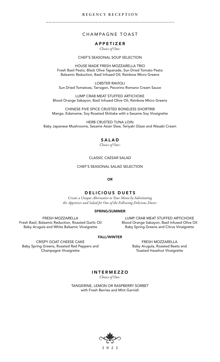#### REGENCY RECEPTION

# CHAMPAGNE TOAST

# **APPETIZER**

*Choice of One:* 

# CHEF'S SEASONAL SOUP SELECTION

HOUSE MADE FRESH MOZZARELLA TRIO Fresh Basil Pesto, Black Olive Tapanade, Sun Dried Tomato Pesto Balsamic Reduction, Basil Infused Oil, Rainbow Micro Greens

LOBSTER RAVIOLI Sun Dried Tomatoes, Tarragon, Pecorino Romano Cream Sauce

LUMP CRAB MEAT STUFFED ARTICHOKE Blood Orange Sabayon, Basil Infused Olive Oil, Rainbow Micro Greens

CHINESE FIVE SPICE CRUSTED BONELESS SHORTRIB Mango, Edamame, Soy Roasted Shiitake with a Sesame Soy Vinaigrette

HERB CRUSTED TUNA LOIN Baby Japanese Mushrooms, Sesame Asian Slaw, Teriyaki Glaze and Wasabi Cream

# **SALAD**

*Choice of One:*

#### CLASSIC CAESAR SALAD

CHEF'S SEASONAL SALAD SELECTION

OR

# DELICIOUS DUETS

*Create a Unique Alternative to Your Menu by Substituting the Appetizer and Salad for One of the Following Delicious Duets:*

#### SPRING/SUMMER

FRESH MOZZARELLA Fresh Basil, Balsamic Reduction, Roasted Garlic Oil Baby Arugula and White Balsamic Vinaigrette

LUMP CRAB MEAT STUFFED ARTICHOKE Blood Orange Sabayon, Basil Infused Olive Oil Baby Spring Greens and Citrus Vinaigrette

#### FALL/WINTER

CRISPY GOAT CHEESE CAKE Baby Spring Greens, Roasted Red Peppers and Champagne Vinaigrette

FRESH MOZZARELLA Baby Arugula, Roasted Beets and Toasted Hazelnut Vinaigrette

**INTERMEZZO** *Choice of One:*

TANGERINE, LEMON OR RASPBERRY SORBET with Fresh Berries and Mint Garnish